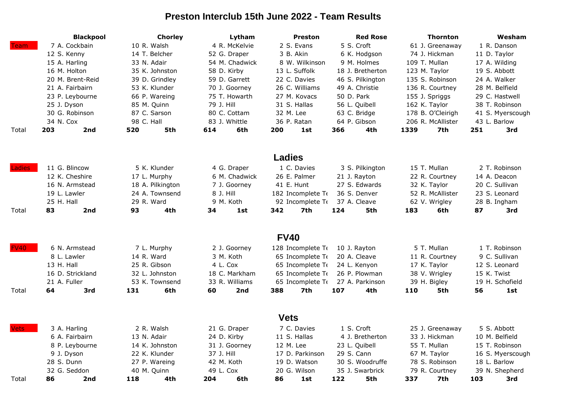## **Preston Interclub 15th June 2022 - Team Results**

|               | <b>Blackpool</b>               | <b>Chorley</b>   | Lytham                       | <b>Preston</b>                        | <b>Red Rose</b>                   | <b>Thornton</b>                | Wesham                                                                          |  |
|---------------|--------------------------------|------------------|------------------------------|---------------------------------------|-----------------------------------|--------------------------------|---------------------------------------------------------------------------------|--|
| <b>Team</b>   | 7 A. Cockbain                  | 10 R. Walsh      | 4 R. McKelvie                | 2 S. Evans                            | 5 S. Croft                        | 61 J. Greenaway                | 1 R. Danson                                                                     |  |
|               | 12 S. Kenny                    | 14 T. Belcher    | 52 G. Draper                 | 3 B. Akin                             | 6 K. Hodgson                      | 74 J. Hickman                  | 11 D. Taylor<br>17 A. Wilding<br>19 S. Abbott<br>24 A. Walker<br>28 M. Belfield |  |
|               | 15 A. Harling                  | 33 N. Adair      | 54 M. Chadwick               | 8 W. Wilkinson                        | 9 M. Holmes                       | 109 T. Mullan                  |                                                                                 |  |
|               | 16 M. Holton                   | 35 K. Johnston   | 58 D. Kirby                  | 13 L. Suffolk                         | 18 J. Bretherton                  | 123 M. Taylor                  |                                                                                 |  |
|               | 20 M. Brent-Reid               | 39 D. Grindley   | 59 D. Garrett                | 22 C. Davies                          | 46 S. Pilkington                  | 135 S. Robinson                |                                                                                 |  |
|               | 21 A. Fairbairn                | 53 K. Klunder    | 70 J. Goorney                | 26 C. Williams                        | 49 A. Christie                    | 136 R. Courtney                |                                                                                 |  |
|               | 23 P. Leybourne                | 66 P. Wareing    | 75 T. Howarth                | 27 M. Kovacs                          | 50 D. Park                        | 155 J. Spriggs                 | 29 C. Hastwell                                                                  |  |
|               | 25 J. Dyson                    | 85 M. Quinn      | 79 J. Hill                   | 31 S. Hallas                          | 56 L. Quibell                     | 162 K. Taylor                  | 38 T. Robinson<br>41 S. Myerscough<br>43 L. Barlow                              |  |
|               | 30 G. Robinson                 | 87 C. Sarson     | 80 C. Cottam                 | 32 M. Lee                             | 63 C. Bridge                      | 178 B. O'Cleirigh              |                                                                                 |  |
|               | 34 N. Cox                      | 98 C. Hall       | 83 J. Whittle                | 36 P. Ratan                           | 64 P. Gibson                      | 206 R. McAllister              |                                                                                 |  |
| Total         | 203<br>2nd                     | 520<br>5th       | 614<br>6th                   | 200<br>1st                            | 366<br>4th                        | 1339<br>7th                    | 251<br>3rd                                                                      |  |
|               |                                |                  |                              |                                       |                                   |                                |                                                                                 |  |
|               |                                |                  |                              | <b>Ladies</b>                         |                                   |                                |                                                                                 |  |
| <b>Ladies</b> | 11 G. Blincow                  | 5 K. Klunder     | 4 G. Draper                  | 1 C. Davies                           | 3 S. Pilkington                   | 15 T. Mullan                   | 2 T. Robinson                                                                   |  |
|               | 12 K. Cheshire<br>17 L. Murphy |                  | 6 M. Chadwick                | 26 E. Palmer                          | 21 J. Rayton                      | 22 R. Courtney                 | 14 A. Deacon                                                                    |  |
|               | 16 N. Armstead                 | 18 A. Pilkington | 7 J. Goorney                 | 41 E. Hunt                            | 27 S. Edwards                     | 32 K. Taylor                   | 20 C. Sullivan                                                                  |  |
|               | 24 A. Townsend<br>19 L. Lawler |                  | 8 J. Hill                    | 182 Incomplete To<br>92 Incomplete To | 36 S. Denver                      | 52 R. McAllister               | 23 S. Leonard                                                                   |  |
|               | 25 H. Hall                     | 29 R. Ward       | 9 M. Koth                    |                                       | 37 A. Cleave                      | 62 V. Wrigley                  | 28 B. Ingham                                                                    |  |
| Total         | 83<br>2nd                      | 93<br>4th        | 34<br>1st                    | 342<br>7th                            | 124<br>5th                        | 183<br>6th                     | 87<br>3rd                                                                       |  |
|               |                                |                  |                              | <b>FV40</b>                           |                                   |                                |                                                                                 |  |
| <b>FV40</b>   | 6 N. Armstead                  | 7 L. Murphy      | 2 J. Goorney                 | 128 Incomplete To                     | 10 J. Rayton                      | 5 T. Mullan                    | 1 T. Robinson                                                                   |  |
|               | 8 L. Lawler                    | 14 R. Ward       | 3 M. Koth                    |                                       | 65 Incomplete To<br>20 A. Cleave  |                                | 9 C. Sullivan                                                                   |  |
|               | 13 H. Hall                     | 25 R. Gibson     | 4 L. Cox                     | 65 Incomplete To                      | 24 L. Kenyon                      | 11 R. Courtney<br>17 K. Taylor | 12 S. Leonard                                                                   |  |
|               | 16 D. Strickland               | 32 L. Johnston   | 18 C. Markham                | 65 Incomplete To                      | 26 P. Plowman                     | 38 V. Wrigley                  | 15 K. Twist                                                                     |  |
|               | 21 A. Fuller<br>53 K. Townsend |                  | 33 R. Williams               | 65 Incomplete To                      | 27 A. Parkinson                   | 39 H. Bigley                   | 19 H. Schofield                                                                 |  |
| Total         | 3rd<br>64                      | 6th<br>131       | 60<br>2nd                    | 388<br>7th                            | 107<br>4th                        | 110<br>5th                     | 56<br>1st                                                                       |  |
|               |                                |                  |                              |                                       |                                   |                                |                                                                                 |  |
|               |                                |                  |                              | <b>Vets</b>                           |                                   |                                |                                                                                 |  |
| <b>Vets</b>   | 3 A. Harling                   | 2 R. Walsh       |                              | 7 C. Davies                           | 1 S. Croft                        | 25 J. Greenaway                | 5 S. Abbott                                                                     |  |
|               | 6 A. Fairbairn                 | 13 N. Adair      |                              | 11 S. Hallas                          | 4 J. Bretherton                   | 33 J. Hickman                  | 10 M. Belfield                                                                  |  |
|               | 8 P. Leybourne                 | 14 K. Johnston   | 24 D. Kirby<br>31 J. Goorney | 12 M. Lee                             | 23 L. Quibell                     | 55 T. Mullan                   | 15 T. Robinson                                                                  |  |
|               | 9 J. Dyson                     | 22 K. Klunder    |                              | 17 D. Parkinson                       | 29 S. Cann                        | 67 M. Taylor                   | 16 S. Myerscough                                                                |  |
|               | 28 S. Dunn                     | 27 P. Wareing    |                              | 19 D. Watson                          | 30 S. Woodruffe                   | 78 S. Robinson                 | 18 L. Barlow                                                                    |  |
|               | 32 G. Seddon                   | 40 M. Quinn      | 49 L. Cox                    | 20 G. Wilson                          | 35 J. Swarbrick<br>79 R. Courtney |                                | 39 N. Shepherd                                                                  |  |
| Total         | 86<br>2nd                      | 4th<br>118       | 204<br>6th                   | 86<br>1st                             | 5th<br>122                        | 337<br>7th                     | 103<br>3rd                                                                      |  |